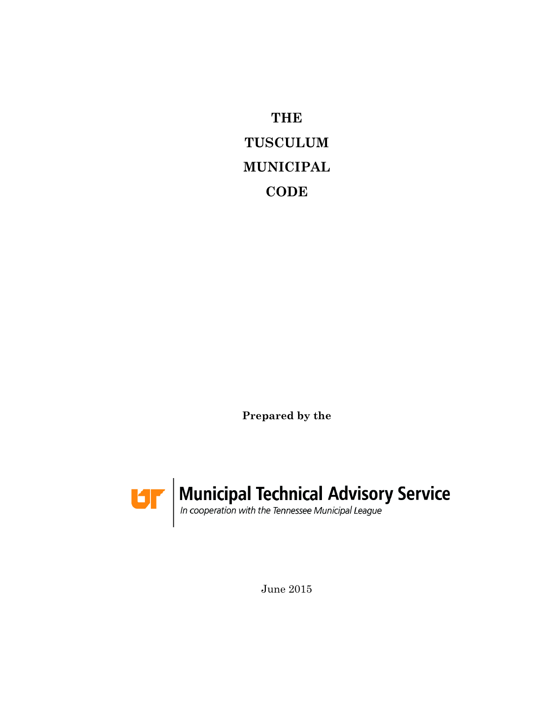**THE TUSCULUM MUNICIPAL CODE**

**Prepared by the**



June 2015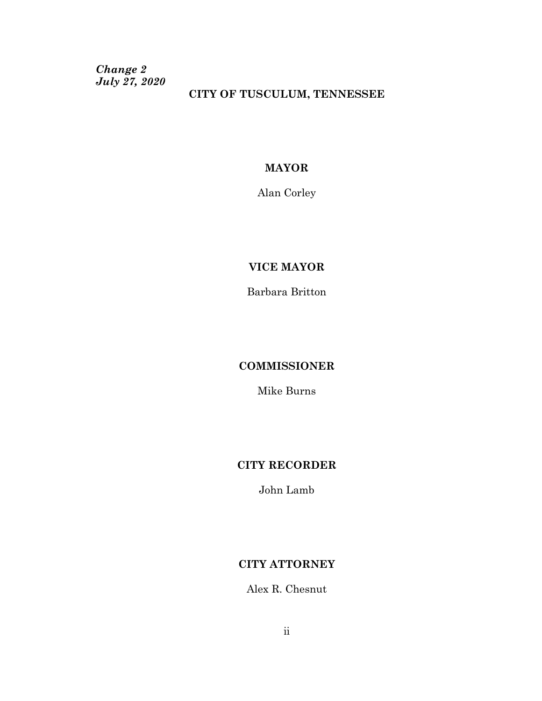*Change 2 July 27, 2020*

### **CITY OF TUSCULUM, TENNESSEE**

## **MAYOR**

Alan Corley

## **VICE MAYOR**

Barbara Britton

### **COMMISSIONER**

Mike Burns

## **CITY RECORDER**

John Lamb

### **CITY ATTORNEY**

Alex R. Chesnut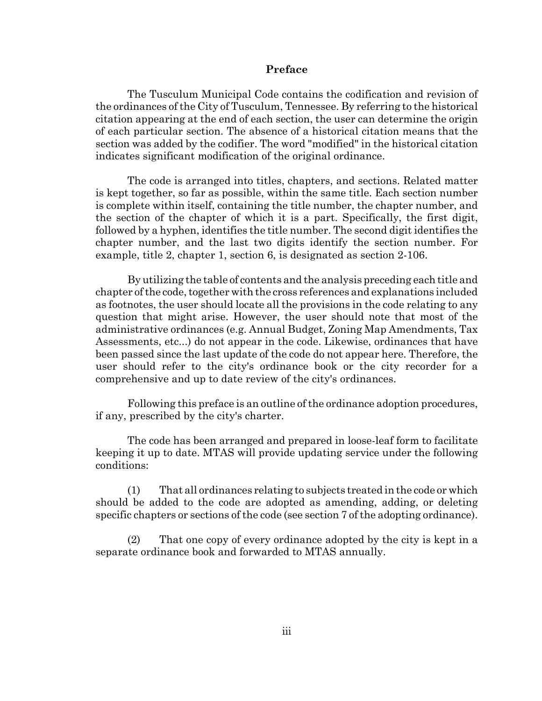#### **Preface**

The Tusculum Municipal Code contains the codification and revision of the ordinances of the City of Tusculum, Tennessee. By referring to the historical citation appearing at the end of each section, the user can determine the origin of each particular section. The absence of a historical citation means that the section was added by the codifier. The word "modified" in the historical citation indicates significant modification of the original ordinance.

The code is arranged into titles, chapters, and sections. Related matter is kept together, so far as possible, within the same title. Each section number is complete within itself, containing the title number, the chapter number, and the section of the chapter of which it is a part. Specifically, the first digit, followed by a hyphen, identifies the title number. The second digit identifies the chapter number, and the last two digits identify the section number. For example, title 2, chapter 1, section 6, is designated as section 2-106.

By utilizing the table of contents and the analysis preceding each title and chapter of the code, together with the cross references and explanations included as footnotes, the user should locate all the provisions in the code relating to any question that might arise. However, the user should note that most of the administrative ordinances (e.g. Annual Budget, Zoning Map Amendments, Tax Assessments, etc...) do not appear in the code. Likewise, ordinances that have been passed since the last update of the code do not appear here. Therefore, the user should refer to the city's ordinance book or the city recorder for a comprehensive and up to date review of the city's ordinances.

Following this preface is an outline of the ordinance adoption procedures, if any, prescribed by the city's charter.

The code has been arranged and prepared in loose-leaf form to facilitate keeping it up to date. MTAS will provide updating service under the following conditions:

(1) That all ordinances relating to subjects treated in the code or which should be added to the code are adopted as amending, adding, or deleting specific chapters or sections of the code (see section 7 of the adopting ordinance).

(2) That one copy of every ordinance adopted by the city is kept in a separate ordinance book and forwarded to MTAS annually.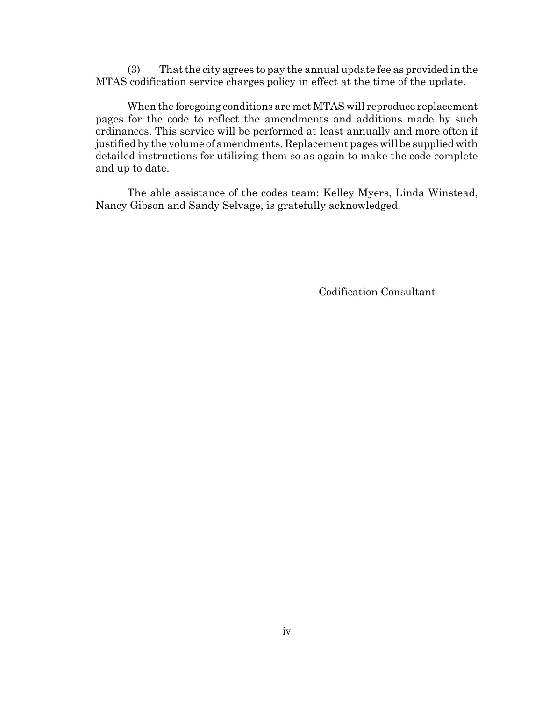(3) That the city agrees to pay the annual update fee as provided in the MTAS codification service charges policy in effect at the time of the update.

When the foregoing conditions are met MTAS will reproduce replacement pages for the code to reflect the amendments and additions made by such ordinances. This service will be performed at least annually and more often if justified by the volume of amendments. Replacement pages will be supplied with detailed instructions for utilizing them so as again to make the code complete and up to date.

The able assistance of the codes team: Kelley Myers, Linda Winstead, Nancy Gibson and Sandy Selvage, is gratefully acknowledged.

Codification Consultant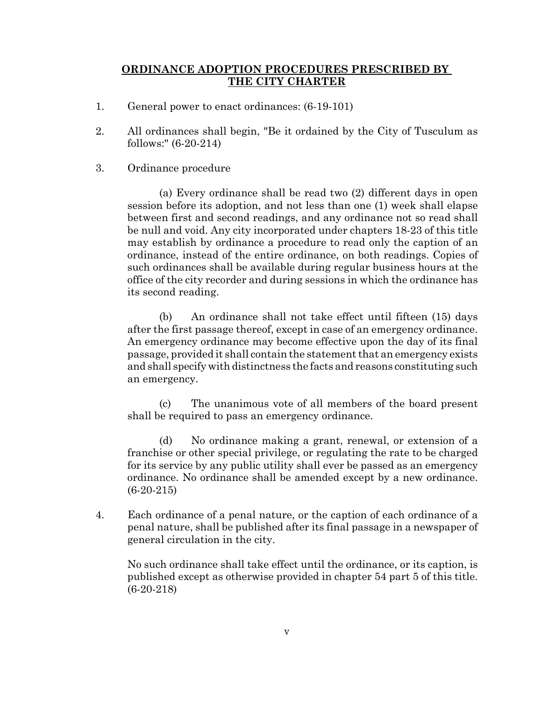#### **ORDINANCE ADOPTION PROCEDURES PRESCRIBED BY THE CITY CHARTER**

- 1. General power to enact ordinances: (6-19-101)
- 2. All ordinances shall begin, "Be it ordained by the City of Tusculum as follows:" (6-20-214)
- 3. Ordinance procedure

(a) Every ordinance shall be read two (2) different days in open session before its adoption, and not less than one (1) week shall elapse between first and second readings, and any ordinance not so read shall be null and void. Any city incorporated under chapters 18-23 of this title may establish by ordinance a procedure to read only the caption of an ordinance, instead of the entire ordinance, on both readings. Copies of such ordinances shall be available during regular business hours at the office of the city recorder and during sessions in which the ordinance has its second reading.

(b) An ordinance shall not take effect until fifteen (15) days after the first passage thereof, except in case of an emergency ordinance. An emergency ordinance may become effective upon the day of its final passage, provided it shall contain the statement that an emergency exists and shall specify with distinctness the facts and reasons constituting such an emergency.

(c) The unanimous vote of all members of the board present shall be required to pass an emergency ordinance.

(d) No ordinance making a grant, renewal, or extension of a franchise or other special privilege, or regulating the rate to be charged for its service by any public utility shall ever be passed as an emergency ordinance. No ordinance shall be amended except by a new ordinance. (6-20-215)

4. Each ordinance of a penal nature, or the caption of each ordinance of a penal nature, shall be published after its final passage in a newspaper of general circulation in the city.

No such ordinance shall take effect until the ordinance, or its caption, is published except as otherwise provided in chapter 54 part 5 of this title. (6-20-218)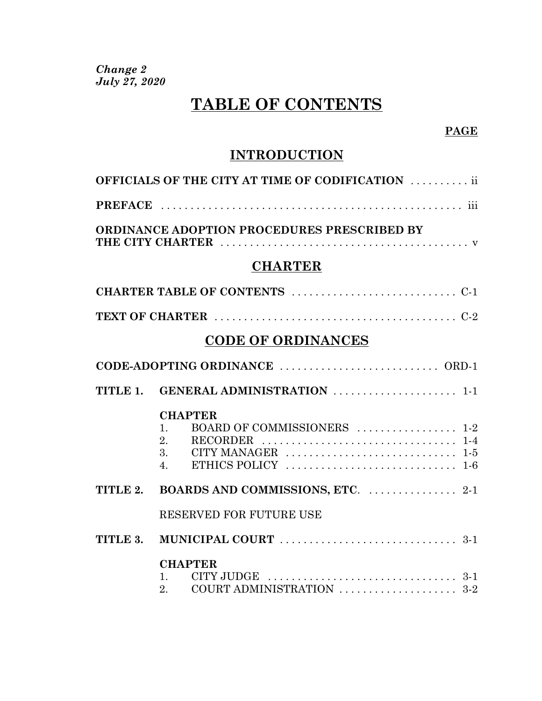*Change 2 July 27, 2020*

# **TABLE OF CONTENTS**

### **PAGE**

# **INTRODUCTION**

| <b>OFFICIALS OF THE CITY AT TIME OF CODIFICATION  ii</b>                                                                                                                                                                                        |
|-------------------------------------------------------------------------------------------------------------------------------------------------------------------------------------------------------------------------------------------------|
|                                                                                                                                                                                                                                                 |
| ORDINANCE ADOPTION PROCEDURES PRESCRIBED BY                                                                                                                                                                                                     |
| <b>CHARTER</b>                                                                                                                                                                                                                                  |
|                                                                                                                                                                                                                                                 |
|                                                                                                                                                                                                                                                 |
| <b>CODE OF ORDINANCES</b>                                                                                                                                                                                                                       |
|                                                                                                                                                                                                                                                 |
| TITLE 1. GENERAL ADMINISTRATION  1-1                                                                                                                                                                                                            |
| <b>CHAPTER</b><br>BOARD OF COMMISSIONERS  1-2<br>1.<br>2.<br>RECORDER $\ldots \ldots \ldots \ldots \ldots \ldots \ldots \ldots \ldots 1-4$<br>ETHICS POLICY $\ldots \ldots \ldots \ldots \ldots \ldots \ldots \ldots \ldots 1-6$<br>$4_{\cdot}$ |
| TITLE 2. BOARDS AND COMMISSIONS, ETC.  2-1                                                                                                                                                                                                      |
| RESERVED FOR FUTURE USE                                                                                                                                                                                                                         |
|                                                                                                                                                                                                                                                 |
| <b>CHAPTER</b><br>CITY JUDGE $\ldots \ldots \ldots \ldots \ldots \ldots \ldots \ldots \ldots \ldots \ldots 3-1$<br>$1 \quad \Box$<br>COURT ADMINISTRATION $\ldots \ldots \ldots \ldots \ldots \ldots \ldots$ 3-2<br>2 <sub>1</sub>              |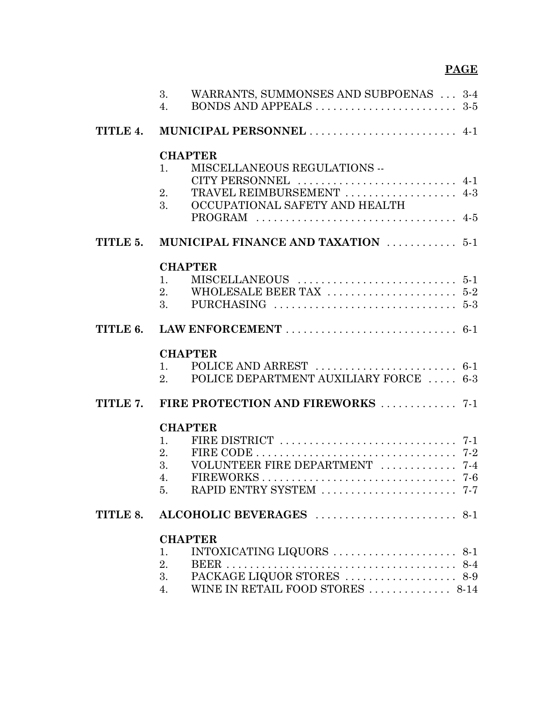## **PAGE**

|          | WARRANTS, SUMMONSES AND SUBPOENAS  3-4<br>3.<br>BONDS AND APPEALS $\dots\dots\dots\dots\dots\dots\dots 3-5$<br>4. |  |
|----------|-------------------------------------------------------------------------------------------------------------------|--|
| TITLE 4. | MUNICIPAL PERSONNEL  4-1                                                                                          |  |
|          | <b>CHAPTER</b>                                                                                                    |  |
|          | MISCELLANEOUS REGULATIONS --<br>$\mathbf{1}$ .                                                                    |  |
|          | CITY PERSONNEL  4-1                                                                                               |  |
|          | TRAVEL REIMBURSEMENT  4-3<br>2.<br>OCCUPATIONAL SAFETY AND HEALTH<br>3.                                           |  |
|          |                                                                                                                   |  |
| TITLE 5. | MUNICIPAL FINANCE AND TAXATION  5-1                                                                               |  |
|          | <b>CHAPTER</b>                                                                                                    |  |
|          | 1 <sub>1</sub>                                                                                                    |  |
|          | 2.                                                                                                                |  |
|          | PURCHASING $\dots\dots\dots\dots\dots\dots\dots\dots\dots\dots\dots$ 5-3<br>3.                                    |  |
| TITLE 6. |                                                                                                                   |  |
|          | <b>CHAPTER</b>                                                                                                    |  |
|          | POLICE AND ARREST $\ldots \ldots \ldots \ldots \ldots \ldots \ldots 6-1$<br>$\mathbf{1}$ .                        |  |
|          | POLICE DEPARTMENT AUXILIARY FORCE  6-3<br>2.                                                                      |  |
| TITLE 7. |                                                                                                                   |  |
|          | <b>CHAPTER</b>                                                                                                    |  |
|          | $\mathbf{1}$ .                                                                                                    |  |
|          | 2.<br>FIRE CODE $\ldots \ldots \ldots \ldots \ldots \ldots \ldots \ldots \ldots \ldots$ 7-2                       |  |
|          | VOLUNTEER FIRE DEPARTMENT  7-4<br>3.<br>4.                                                                        |  |
|          | 5.                                                                                                                |  |
|          |                                                                                                                   |  |
| TITLE 8. |                                                                                                                   |  |
|          | <b>CHAPTER</b>                                                                                                    |  |
|          | INTOXICATING LIQUORS $\ldots \ldots \ldots \ldots \ldots \ldots$ 8-1<br>1.                                        |  |
|          | 2.<br>3.                                                                                                          |  |
|          | WINE IN RETAIL FOOD STORES  8-14<br>4.                                                                            |  |
|          |                                                                                                                   |  |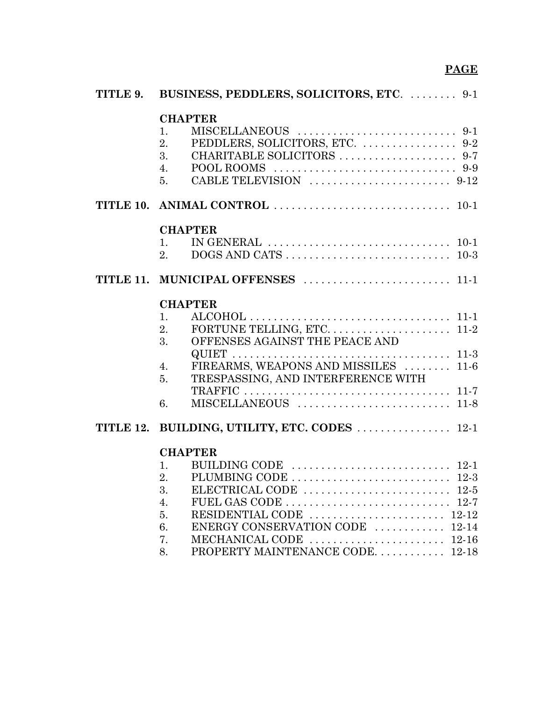| TITLE 9. | BUSINESS, PEDDLERS, SOLICITORS, ETC.  9-1                                                                 |
|----------|-----------------------------------------------------------------------------------------------------------|
|          | <b>CHAPTER</b><br>1.<br>2.<br>3.<br>4.<br>5.                                                              |
|          |                                                                                                           |
|          | <b>CHAPTER</b>                                                                                            |
|          | IN GENERAL $\ldots \ldots \ldots \ldots \ldots \ldots \ldots \ldots \ldots \ldots 10-1$<br>$\mathbf{1}$ . |
|          | 2.                                                                                                        |
|          |                                                                                                           |
|          | <b>CHAPTER</b>                                                                                            |
|          | $\mathbf{1}$ .                                                                                            |
|          | 2.                                                                                                        |
|          | OFFENSES AGAINST THE PEACE AND<br>3.                                                                      |
|          |                                                                                                           |
|          | FIREARMS, WEAPONS AND MISSILES  11-6<br>$\overline{4}$ .                                                  |
|          | TRESPASSING, AND INTERFERENCE WITH<br>5.                                                                  |
|          | 6.                                                                                                        |
|          |                                                                                                           |
|          | TITLE 12. BUILDING, UTILITY, ETC. CODES  12-1                                                             |
|          | <b>CHAPTER</b>                                                                                            |
|          | BUILDING CODE $\ldots \ldots \ldots \ldots \ldots \ldots \ldots \ldots 12-1$<br>$\mathbf{1}$ .            |
|          | 2.                                                                                                        |
|          | 3.                                                                                                        |
|          | FUEL GAS CODE $\dots\dots\dots\dots\dots\dots\dots\dots\dots\dots 12-7$<br>4.                             |
|          | 5.                                                                                                        |
|          | ENERGY CONSERVATION CODE  12-14<br>6.                                                                     |
|          | 7.                                                                                                        |
|          | PROPERTY MAINTENANCE CODE. 12-18<br>8.                                                                    |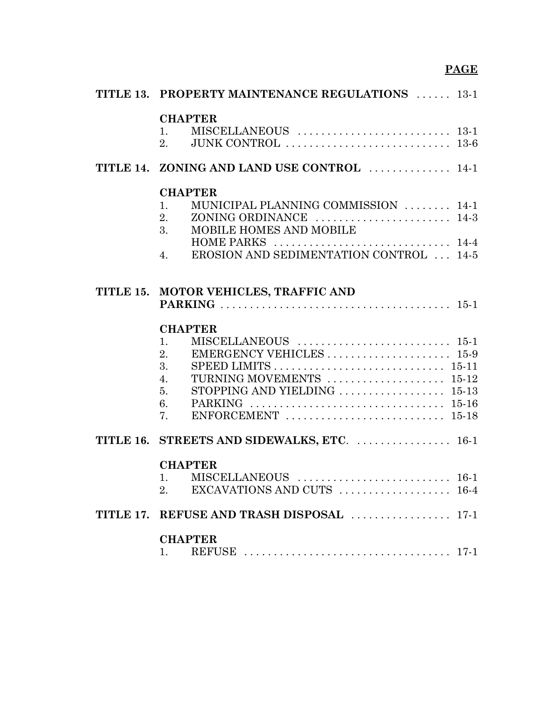# **PAGE**

| <b>TITLE 13. PROPERTY MAINTENANCE REGULATIONS</b> 13-1                                                           |
|------------------------------------------------------------------------------------------------------------------|
| <b>CHAPTER</b><br>1.<br>JUNK CONTROL $\ldots \ldots \ldots \ldots \ldots \ldots \ldots \ldots \ldots$ 13-6<br>2. |
| TITLE 14. ZONING AND LAND USE CONTROL  14-1                                                                      |
| <b>CHAPTER</b>                                                                                                   |
| MUNICIPAL PLANNING COMMISSION  14-1<br>1.                                                                        |
| 2.                                                                                                               |
| MOBILE HOMES AND MOBILE<br>3.                                                                                    |
|                                                                                                                  |
| <b>EROSION AND SEDIMENTATION CONTROL</b> 14-5<br>4.                                                              |
|                                                                                                                  |
| TITLE 15. MOTOR VEHICLES, TRAFFIC AND                                                                            |
|                                                                                                                  |
| <b>CHAPTER</b>                                                                                                   |
| 1.                                                                                                               |
| EMERGENCY VEHICLES 15-9<br>2.                                                                                    |
| 3.<br>SPEED LIMITS $\dots\dots\dots\dots\dots\dots\dots\dots\dots\dots$ 15-11                                    |
| TURNING MOVEMENTS  15-12<br>4.                                                                                   |
| STOPPING AND YIELDING $\ldots \ldots \ldots \ldots \ldots \ldots 15-13$<br>5.                                    |
| 6.                                                                                                               |
| 7.                                                                                                               |
| TITLE 16. STREETS AND SIDEWALKS, ETC.  16-1                                                                      |
| <b>CHAPTER</b>                                                                                                   |
|                                                                                                                  |
| 1. MISCELLANEOUS  16-1<br>2. EXCAVATIONS AND CUTS  16-4<br>2.                                                    |
| TITLE 17. REFUSE AND TRASH DISPOSAL  17-1                                                                        |
| <b>CHAPTER</b>                                                                                                   |
| 1.                                                                                                               |